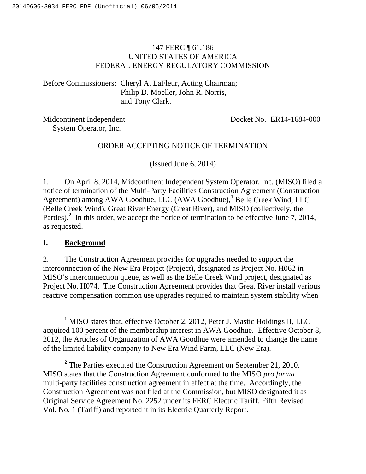# 147 FERC ¶ 61,186 UNITED STATES OF AMERICA FEDERAL ENERGY REGULATORY COMMISSION

Before Commissioners: Cheryl A. LaFleur, Acting Chairman; Philip D. Moeller, John R. Norris, and Tony Clark.

Midcontinent Independent System Operator, Inc.

Docket No. ER14-1684-000

# ORDER ACCEPTING NOTICE OF TERMINATION

(Issued June 6, 2014)

1. On April 8, 2014, Midcontinent Independent System Operator, Inc. (MISO) filed a notice of termination of the Multi-Party Facilities Construction Agreement (Construction Agreement) among AWA Goodhue, LLC (AWA Goodhue),**<sup>1</sup>** Belle Creek Wind, LLC (Belle Creek Wind), Great River Energy (Great River), and MISO (collectively, the Parties).<sup>2</sup> In this order, we accept the notice of termination to be effective June 7, 2014, as requested.

# **I. Background**

2. The Construction Agreement provides for upgrades needed to support the interconnection of the New Era Project (Project), designated as Project No. H062 in MISO's interconnection queue, as well as the Belle Creek Wind project, designated as Project No. H074. The Construction Agreement provides that Great River install various reactive compensation common use upgrades required to maintain system stability when

<sup>&</sup>lt;u>1</u> <sup>1</sup> MISO states that, effective October 2, 2012, Peter J. Mastic Holdings II, LLC acquired 100 percent of the membership interest in AWA Goodhue. Effective October 8, 2012, the Articles of Organization of AWA Goodhue were amended to change the name of the limited liability company to New Era Wind Farm, LLC (New Era).

<sup>&</sup>lt;sup>2</sup> The Parties executed the Construction Agreement on September 21, 2010. MISO states that the Construction Agreement conformed to the MISO *pro forma*  multi-party facilities construction agreement in effect at the time. Accordingly, the Construction Agreement was not filed at the Commission, but MISO designated it as Original Service Agreement No. 2252 under its FERC Electric Tariff, Fifth Revised Vol. No. 1 (Tariff) and reported it in its Electric Quarterly Report.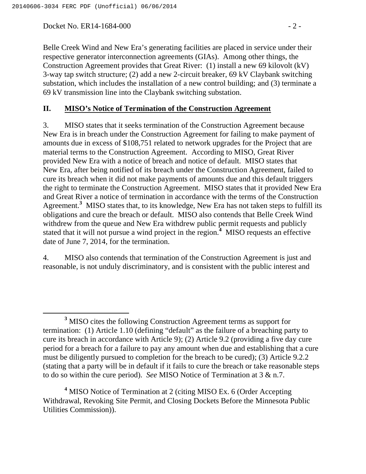Docket No. ER14-1684-000 - 2 -

Belle Creek Wind and New Era's generating facilities are placed in service under their respective generator interconnection agreements (GIAs). Among other things, the Construction Agreement provides that Great River: (1) install a new 69 kilovolt (kV) 3-way tap switch structure; (2) add a new 2-circuit breaker, 69 kV Claybank switching substation, which includes the installation of a new control building; and (3) terminate a 69 kV transmission line into the Claybank switching substation.

### **II. MISO's Notice of Termination of the Construction Agreement**

3. MISO states that it seeks termination of the Construction Agreement because New Era is in breach under the Construction Agreement for failing to make payment of amounts due in excess of \$108,751 related to network upgrades for the Project that are material terms to the Construction Agreement. According to MISO, Great River provided New Era with a notice of breach and notice of default. MISO states that New Era, after being notified of its breach under the Construction Agreement, failed to cure its breach when it did not make payments of amounts due and this default triggers the right to terminate the Construction Agreement. MISO states that it provided New Era and Great River a notice of termination in accordance with the terms of the Construction Agreement.**<sup>3</sup>** MISO states that, to its knowledge, New Era has not taken steps to fulfill its obligations and cure the breach or default. MISO also contends that Belle Creek Wind withdrew from the queue and New Era withdrew public permit requests and publicly stated that it will not pursue a wind project in the region.**<sup>4</sup>** MISO requests an effective date of June 7, 2014, for the termination.

4. MISO also contends that termination of the Construction Agreement is just and reasonable, is not unduly discriminatory, and is consistent with the public interest and

<sup>4</sup> MISO Notice of Termination at 2 (citing MISO Ex. 6 (Order Accepting Withdrawal, Revoking Site Permit, and Closing Dockets Before the Minnesota Public Utilities Commission)).

**<sup>3</sup>** <sup>3</sup> MISO cites the following Construction Agreement terms as support for termination: (1) Article 1.10 (defining "default" as the failure of a breaching party to cure its breach in accordance with Article 9); (2) Article 9.2 (providing a five day cure period for a breach for a failure to pay any amount when due and establishing that a cure must be diligently pursued to completion for the breach to be cured); (3) Article 9.2.2 (stating that a party will be in default if it fails to cure the breach or take reasonable steps to do so within the cure period). *See* MISO Notice of Termination at 3 & n.7.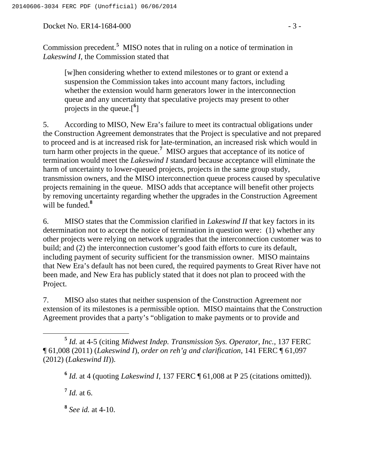Docket No. ER14-1684-000 - 3 -

Commission precedent.<sup>5</sup> MISO notes that in ruling on a notice of termination in *Lakeswind I*, the Commission stated that

[w]hen considering whether to extend milestones or to grant or extend a suspension the Commission takes into account many factors, including whether the extension would harm generators lower in the interconnection queue and any uncertainty that speculative projects may present to other projects in the queue.[**<sup>6</sup>** ]

5. According to MISO, New Era's failure to meet its contractual obligations under the Construction Agreement demonstrates that the Project is speculative and not prepared to proceed and is at increased risk for late-termination, an increased risk which would in turn harm other projects in the queue.**<sup>7</sup>** MISO argues that acceptance of its notice of termination would meet the *Lakeswind I* standard because acceptance will eliminate the harm of uncertainty to lower-queued projects, projects in the same group study, transmission owners, and the MISO interconnection queue process caused by speculative projects remaining in the queue. MISO adds that acceptance will benefit other projects by removing uncertainty regarding whether the upgrades in the Construction Agreement will be funded.**<sup>8</sup>**

6. MISO states that the Commission clarified in *Lakeswind II* that key factors in its determination not to accept the notice of termination in question were: (1) whether any other projects were relying on network upgrades that the interconnection customer was to build; and (2) the interconnection customer's good faith efforts to cure its default, including payment of security sufficient for the transmission owner. MISO maintains that New Era's default has not been cured, the required payments to Great River have not been made, and New Era has publicly stated that it does not plan to proceed with the Project.

7. MISO also states that neither suspension of the Construction Agreement nor extension of its milestones is a permissible option. MISO maintains that the Construction Agreement provides that a party's "obligation to make payments or to provide and

 $^7$  *Id.* at 6.

**<sup>8</sup>** *See id.* at 4-10.

**<sup>5</sup>** *Id.* at 4-5 (citing *Midwest Indep. Transmission Sys. Operator, Inc.*, 137 FERC ¶ 61,008 (2011) (*Lakeswind I*), *order on reh'g and clarification*, 141 FERC ¶ 61,097 (2012) (*Lakeswind II*)).

**<sup>6</sup>** *Id.* at 4 (quoting *Lakeswind I*, 137 FERC ¶ 61,008 at P 25 (citations omitted)).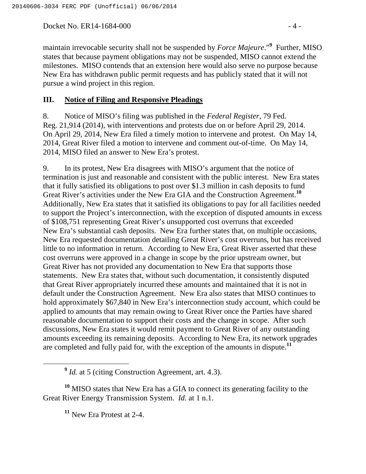Docket No. ER14-1684-000 - 4 -

maintain irrevocable security shall not be suspended by *Force Majeure*."**<sup>9</sup>** Further, MISO states that because payment obligations may not be suspended, MISO cannot extend the milestones. MISO contends that an extension here would also serve no purpose because New Era has withdrawn public permit requests and has publicly stated that it will not pursue a wind project in this region.

#### **III. Notice of Filing and Responsive Pleadings**

8. Notice of MISO's filing was published in the *Federal Register*, 79 Fed. Reg. 21,914 (2014), with interventions and protests due on or before April 29, 2014. On April 29, 2014, New Era filed a timely motion to intervene and protest. On May 14, 2014, Great River filed a motion to intervene and comment out-of-time. On May 14, 2014, MISO filed an answer to New Era's protest.

9. In its protest, New Era disagrees with MISO's argument that the notice of termination is just and reasonable and consistent with the public interest. New Era states that it fully satisfied its obligations to post over \$1.3 million in cash deposits to fund Great River's activities under the New Era GIA and the Construction Agreement.**<sup>10</sup>** Additionally, New Era states that it satisfied its obligations to pay for all facilities needed to support the Project's interconnection, with the exception of disputed amounts in excess of \$108,751 representing Great River's unsupported cost overruns that exceeded New Era's substantial cash deposits. New Era further states that, on multiple occasions, New Era requested documentation detailing Great River's cost overruns, but has received little to no information in return. According to New Era, Great River asserted that these cost overruns were approved in a change in scope by the prior upstream owner, but Great River has not provided any documentation to New Era that supports those statements. New Era states that, without such documentation, it consistently disputed that Great River appropriately incurred these amounts and maintained that it is not in default under the Construction Agreement. New Era also states that MISO continues to hold approximately \$67,840 in New Era's interconnection study account, which could be applied to amounts that may remain owing to Great River once the Parties have shared reasonable documentation to support their costs and the change in scope. After such discussions, New Era states it would remit payment to Great River of any outstanding amounts exceeding its remaining deposits. According to New Era, its network upgrades are completed and fully paid for, with the exception of the amounts in dispute.**<sup>11</sup>**

<sup>9</sup> *Id.* at 5 (citing Construction Agreement, art. 4.3).

**<sup>10</sup>** MISO states that New Era has a GIA to connect its generating facility to the Great River Energy Transmission System. *Id.* at 1 n.1.

**<sup>11</sup>** New Era Protest at 2-4.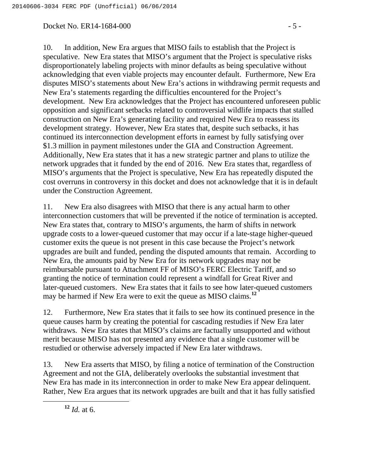### Docket No. ER14-1684-000 - 5 -

10. In addition, New Era argues that MISO fails to establish that the Project is speculative. New Era states that MISO's argument that the Project is speculative risks disproportionately labeling projects with minor defaults as being speculative without acknowledging that even viable projects may encounter default. Furthermore, New Era disputes MISO's statements about New Era's actions in withdrawing permit requests and New Era's statements regarding the difficulties encountered for the Project's development. New Era acknowledges that the Project has encountered unforeseen public opposition and significant setbacks related to controversial wildlife impacts that stalled construction on New Era's generating facility and required New Era to reassess its development strategy. However, New Era states that, despite such setbacks, it has continued its interconnection development efforts in earnest by fully satisfying over \$1.3 million in payment milestones under the GIA and Construction Agreement. Additionally, New Era states that it has a new strategic partner and plans to utilize the network upgrades that it funded by the end of 2016. New Era states that, regardless of MISO's arguments that the Project is speculative, New Era has repeatedly disputed the cost overruns in controversy in this docket and does not acknowledge that it is in default under the Construction Agreement.

11. New Era also disagrees with MISO that there is any actual harm to other interconnection customers that will be prevented if the notice of termination is accepted. New Era states that, contrary to MISO's arguments, the harm of shifts in network upgrade costs to a lower-queued customer that may occur if a late-stage higher-queued customer exits the queue is not present in this case because the Project's network upgrades are built and funded, pending the disputed amounts that remain. According to New Era, the amounts paid by New Era for its network upgrades may not be reimbursable pursuant to Attachment FF of MISO's FERC Electric Tariff, and so granting the notice of termination could represent a windfall for Great River and later-queued customers. New Era states that it fails to see how later-queued customers may be harmed if New Era were to exit the queue as MISO claims.**<sup>12</sup>**

12. Furthermore, New Era states that it fails to see how its continued presence in the queue causes harm by creating the potential for cascading restudies if New Era later withdraws. New Era states that MISO's claims are factually unsupported and without merit because MISO has not presented any evidence that a single customer will be restudied or otherwise adversely impacted if New Era later withdraws.

13. New Era asserts that MISO, by filing a notice of termination of the Construction Agreement and not the GIA, deliberately overlooks the substantial investment that New Era has made in its interconnection in order to make New Era appear delinquent. Rather, New Era argues that its network upgrades are built and that it has fully satisfied

**<sup>12</sup>** *Id.* at 6.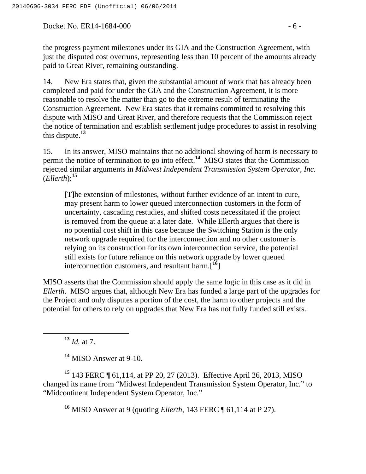Docket No. ER14-1684-000 - 6 -

14. New Era states that, given the substantial amount of work that has already been completed and paid for under the GIA and the Construction Agreement, it is more reasonable to resolve the matter than go to the extreme result of terminating the Construction Agreement. New Era states that it remains committed to resolving this dispute with MISO and Great River, and therefore requests that the Commission reject the notice of termination and establish settlement judge procedures to assist in resolving this dispute.**<sup>13</sup>**

15. In its answer, MISO maintains that no additional showing of harm is necessary to permit the notice of termination to go into effect.**<sup>14</sup>** MISO states that the Commission rejected similar arguments in *Midwest Independent Transmission System Operator, Inc.* (*Ellerth*):**<sup>15</sup>**

[T]he extension of milestones, without further evidence of an intent to cure, may present harm to lower queued interconnection customers in the form of uncertainty, cascading restudies, and shifted costs necessitated if the project is removed from the queue at a later date. While Ellerth argues that there is no potential cost shift in this case because the Switching Station is the only network upgrade required for the interconnection and no other customer is relying on its construction for its own interconnection service, the potential still exists for future reliance on this network upgrade by lower queued interconnection customers, and resultant harm.[**<sup>16</sup>**]

MISO asserts that the Commission should apply the same logic in this case as it did in *Ellerth*. MISO argues that, although New Era has funded a large part of the upgrades for the Project and only disputes a portion of the cost, the harm to other projects and the potential for others to rely on upgrades that New Era has not fully funded still exists.

**<sup>13</sup>** *Id.* at 7.

**<sup>14</sup>** MISO Answer at 9-10.

**<sup>15</sup>** 143 FERC ¶ 61,114, at PP 20, 27 (2013). Effective April 26, 2013, MISO changed its name from "Midwest Independent Transmission System Operator, Inc." to "Midcontinent Independent System Operator, Inc."

**<sup>16</sup>** MISO Answer at 9 (quoting *Ellerth*, 143 FERC ¶ 61,114 at P 27).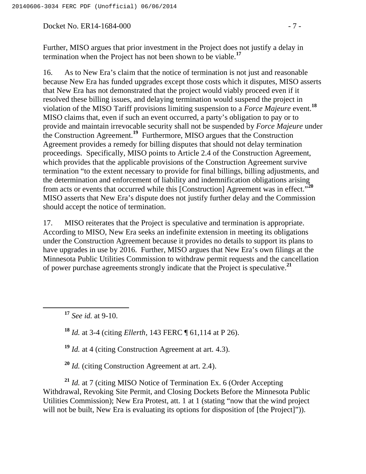Docket No. ER14-1684-000 - 7 -

Further, MISO argues that prior investment in the Project does not justify a delay in termination when the Project has not been shown to be viable.**<sup>17</sup>**

16. As to New Era's claim that the notice of termination is not just and reasonable because New Era has funded upgrades except those costs which it disputes, MISO asserts that New Era has not demonstrated that the project would viably proceed even if it resolved these billing issues, and delaying termination would suspend the project in violation of the MISO Tariff provisions limiting suspension to a *Force Majeure* event.**<sup>18</sup>** MISO claims that, even if such an event occurred, a party's obligation to pay or to provide and maintain irrevocable security shall not be suspended by *Force Majeure* under the Construction Agreement.**<sup>19</sup>** Furthermore, MISO argues that the Construction Agreement provides a remedy for billing disputes that should not delay termination proceedings. Specifically, MISO points to Article 2.4 of the Construction Agreement, which provides that the applicable provisions of the Construction Agreement survive termination "to the extent necessary to provide for final billings, billing adjustments, and the determination and enforcement of liability and indemnification obligations arising from acts or events that occurred while this [Construction] Agreement was in effect."**<sup>20</sup>** MISO asserts that New Era's dispute does not justify further delay and the Commission should accept the notice of termination.

17. MISO reiterates that the Project is speculative and termination is appropriate. According to MISO, New Era seeks an indefinite extension in meeting its obligations under the Construction Agreement because it provides no details to support its plans to have upgrades in use by 2016. Further, MISO argues that New Era's own filings at the Minnesota Public Utilities Commission to withdraw permit requests and the cancellation of power purchase agreements strongly indicate that the Project is speculative.**<sup>21</sup>**

**<sup>17</sup>** *See id.* at 9-10.

**<sup>18</sup>** *Id.* at 3-4 (citing *Ellerth*, 143 FERC ¶ 61,114 at P 26).

**<sup>19</sup>** *Id.* at 4 (citing Construction Agreement at art. 4.3).

**<sup>20</sup>** *Id.* (citing Construction Agreement at art. 2.4).

**<sup>21</sup>** *Id.* at 7 (citing MISO Notice of Termination Ex. 6 (Order Accepting Withdrawal, Revoking Site Permit, and Closing Dockets Before the Minnesota Public Utilities Commission); New Era Protest, att. 1 at 1 (stating "now that the wind project will not be built, New Era is evaluating its options for disposition of [the Project]")).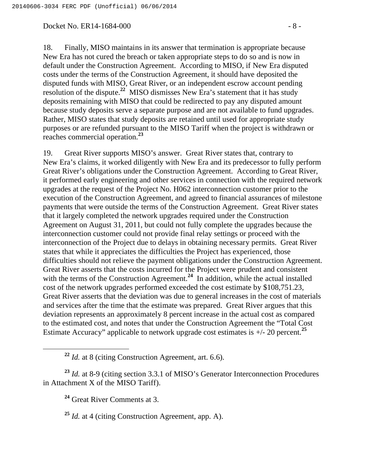#### Docket No. ER14-1684-000 - 8 -

18. Finally, MISO maintains in its answer that termination is appropriate because New Era has not cured the breach or taken appropriate steps to do so and is now in default under the Construction Agreement. According to MISO, if New Era disputed costs under the terms of the Construction Agreement, it should have deposited the disputed funds with MISO, Great River, or an independent escrow account pending resolution of the dispute.**<sup>22</sup>** MISO dismisses New Era's statement that it has study deposits remaining with MISO that could be redirected to pay any disputed amount because study deposits serve a separate purpose and are not available to fund upgrades. Rather, MISO states that study deposits are retained until used for appropriate study purposes or are refunded pursuant to the MISO Tariff when the project is withdrawn or reaches commercial operation.**<sup>23</sup>**

19. Great River supports MISO's answer. Great River states that, contrary to New Era's claims, it worked diligently with New Era and its predecessor to fully perform Great River's obligations under the Construction Agreement. According to Great River, it performed early engineering and other services in connection with the required network upgrades at the request of the Project No. H062 interconnection customer prior to the execution of the Construction Agreement, and agreed to financial assurances of milestone payments that were outside the terms of the Construction Agreement. Great River states that it largely completed the network upgrades required under the Construction Agreement on August 31, 2011, but could not fully complete the upgrades because the interconnection customer could not provide final relay settings or proceed with the interconnection of the Project due to delays in obtaining necessary permits. Great River states that while it appreciates the difficulties the Project has experienced, those difficulties should not relieve the payment obligations under the Construction Agreement. Great River asserts that the costs incurred for the Project were prudent and consistent with the terms of the Construction Agreement.<sup>24</sup> In addition, while the actual installed cost of the network upgrades performed exceeded the cost estimate by \$108,751.23, Great River asserts that the deviation was due to general increases in the cost of materials and services after the time that the estimate was prepared. Great River argues that this deviation represents an approximately 8 percent increase in the actual cost as compared to the estimated cost, and notes that under the Construction Agreement the "Total Cost Estimate Accuracy" applicable to network upgrade cost estimates is +/- 20 percent.**<sup>25</sup>**

**<sup>23</sup>** *Id.* at 8-9 (citing section 3.3.1 of MISO's Generator Interconnection Procedures in Attachment X of the MISO Tariff).

**<sup>24</sup>** Great River Comments at 3.

**<sup>25</sup>** *Id.* at 4 (citing Construction Agreement, app. A).

**<sup>22</sup>** *Id.* at 8 (citing Construction Agreement, art. 6.6).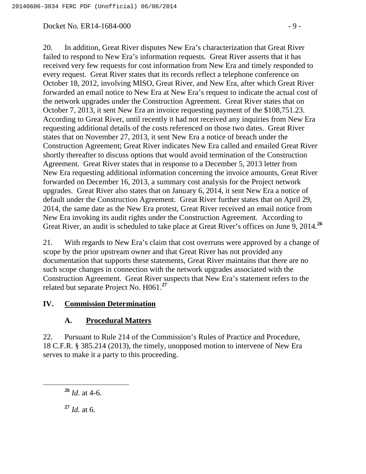#### Docket No. ER14-1684-000 - 9 - 9 -

20. In addition, Great River disputes New Era's characterization that Great River failed to respond to New Era's information requests. Great River asserts that it has received very few requests for cost information from New Era and timely responded to every request. Great River states that its records reflect a telephone conference on October 18, 2012, involving MISO, Great River, and New Era, after which Great River forwarded an email notice to New Era at New Era's request to indicate the actual cost of the network upgrades under the Construction Agreement. Great River states that on October 7, 2013, it sent New Era an invoice requesting payment of the \$108,751.23. According to Great River, until recently it had not received any inquiries from New Era requesting additional details of the costs referenced on those two dates. Great River states that on November 27, 2013, it sent New Era a notice of breach under the Construction Agreement; Great River indicates New Era called and emailed Great River shortly thereafter to discuss options that would avoid termination of the Construction Agreement. Great River states that in response to a December 5, 2013 letter from New Era requesting additional information concerning the invoice amounts, Great River forwarded on December 16, 2013, a summary cost analysis for the Project network upgrades. Great River also states that on January 6, 2014, it sent New Era a notice of default under the Construction Agreement. Great River further states that on April 29, 2014, the same date as the New Era protest, Great River received an email notice from New Era invoking its audit rights under the Construction Agreement. According to Great River, an audit is scheduled to take place at Great River's offices on June 9, 2014.**<sup>26</sup>**

21. With regards to New Era's claim that cost overruns were approved by a change of scope by the prior upstream owner and that Great River has not provided any documentation that supports these statements, Great River maintains that there are no such scope changes in connection with the network upgrades associated with the Construction Agreement. Great River suspects that New Era's statement refers to the related but separate Project No. H061.**<sup>27</sup>**

#### **IV. Commission Determination**

# **A. Procedural Matters**

22. Pursuant to Rule 214 of the Commission's Rules of Practice and Procedure, 18 C.F.R. § 385.214 (2013), the timely, unopposed motion to intervene of New Era serves to make it a party to this proceeding.

**<sup>26</sup>** *Id.* at 4-6.

**<sup>27</sup>** *Id.* at 6.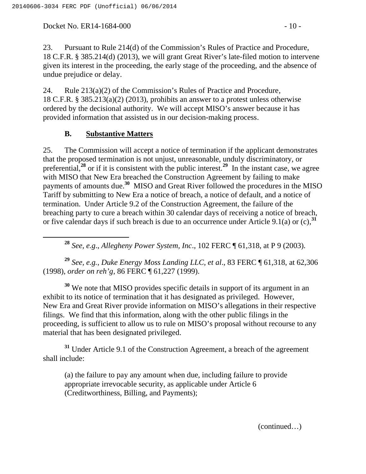Docket No. ER14-1684-000 - 10 - 10 -

23. Pursuant to Rule 214(d) of the Commission's Rules of Practice and Procedure, 18 C.F.R. § 385.214(d) (2013), we will grant Great River's late-filed motion to intervene given its interest in the proceeding, the early stage of the proceeding, and the absence of undue prejudice or delay.

24. Rule 213(a)(2) of the Commission's Rules of Practice and Procedure, 18 C.F.R. § 385.213(a)(2) (2013), prohibits an answer to a protest unless otherwise ordered by the decisional authority. We will accept MISO's answer because it has provided information that assisted us in our decision-making process.

# **B. Substantive Matters**

25. The Commission will accept a notice of termination if the applicant demonstrates that the proposed termination is not unjust, unreasonable, unduly discriminatory, or preferential,**<sup>28</sup>** or if it is consistent with the public interest.**<sup>29</sup>** In the instant case, we agree with MISO that New Era breached the Construction Agreement by failing to make payments of amounts due.**<sup>30</sup>** MISO and Great River followed the procedures in the MISO Tariff by submitting to New Era a notice of breach, a notice of default, and a notice of termination. Under Article 9.2 of the Construction Agreement, the failure of the breaching party to cure a breach within 30 calendar days of receiving a notice of breach, or five calendar days if such breach is due to an occurrence under Article 9.1(a) or (c),**<sup>31</sup>**

**<sup>28</sup>** *See, e.g*., *Allegheny Power System, Inc*., 102 FERC ¶ 61,318, at P 9 (2003).

**<sup>29</sup>** *See, e.g.*, *Duke Energy Moss Landing LLC, et al*., 83 FERC ¶ 61,318, at 62,306 (1998), *order on reh'g*, 86 FERC ¶ 61,227 (1999).

**<sup>30</sup>** We note that MISO provides specific details in support of its argument in an exhibit to its notice of termination that it has designated as privileged. However, New Era and Great River provide information on MISO's allegations in their respective filings. We find that this information, along with the other public filings in the proceeding, is sufficient to allow us to rule on MISO's proposal without recourse to any material that has been designated privileged.

**<sup>31</sup>** Under Article 9.1 of the Construction Agreement, a breach of the agreement shall include:

(a) the failure to pay any amount when due, including failure to provide appropriate irrevocable security, as applicable under Article 6 (Creditworthiness, Billing, and Payments);

(continued…)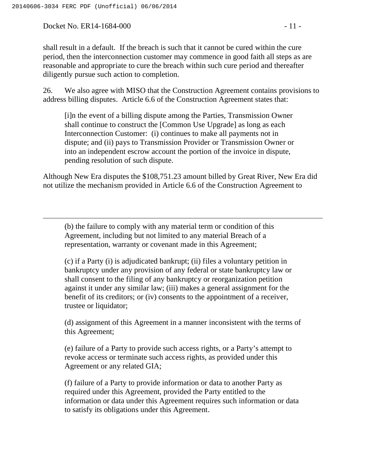Docket No. ER14-1684-000 - 11 -

 $\overline{a}$ 

shall result in a default. If the breach is such that it cannot be cured within the cure period, then the interconnection customer may commence in good faith all steps as are reasonable and appropriate to cure the breach within such cure period and thereafter diligently pursue such action to completion.

26. We also agree with MISO that the Construction Agreement contains provisions to address billing disputes. Article 6.6 of the Construction Agreement states that:

[i]n the event of a billing dispute among the Parties, Transmission Owner shall continue to construct the [Common Use Upgrade] as long as each Interconnection Customer: (i) continues to make all payments not in dispute; and (ii) pays to Transmission Provider or Transmission Owner or into an independent escrow account the portion of the invoice in dispute, pending resolution of such dispute.

Although New Era disputes the \$108,751.23 amount billed by Great River, New Era did not utilize the mechanism provided in Article 6.6 of the Construction Agreement to

(b) the failure to comply with any material term or condition of this Agreement, including but not limited to any material Breach of a representation, warranty or covenant made in this Agreement;

(c) if a Party (i) is adjudicated bankrupt; (ii) files a voluntary petition in bankruptcy under any provision of any federal or state bankruptcy law or shall consent to the filing of any bankruptcy or reorganization petition against it under any similar law; (iii) makes a general assignment for the benefit of its creditors; or (iv) consents to the appointment of a receiver, trustee or liquidator;

(d) assignment of this Agreement in a manner inconsistent with the terms of this Agreement;

(e) failure of a Party to provide such access rights, or a Party's attempt to revoke access or terminate such access rights, as provided under this Agreement or any related GIA;

(f) failure of a Party to provide information or data to another Party as required under this Agreement, provided the Party entitled to the information or data under this Agreement requires such information or data to satisfy its obligations under this Agreement.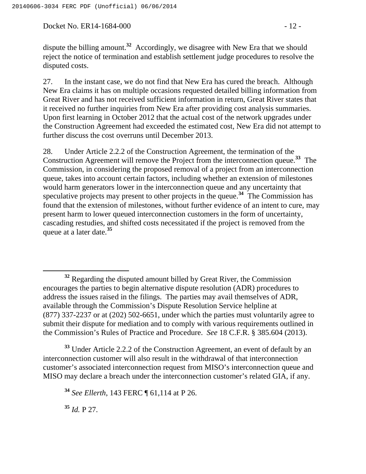Docket No. ER14-1684-000 - 12 -

dispute the billing amount.**<sup>32</sup>** Accordingly, we disagree with New Era that we should reject the notice of termination and establish settlement judge procedures to resolve the disputed costs.

27. In the instant case, we do not find that New Era has cured the breach. Although New Era claims it has on multiple occasions requested detailed billing information from Great River and has not received sufficient information in return, Great River states that it received no further inquiries from New Era after providing cost analysis summaries. Upon first learning in October 2012 that the actual cost of the network upgrades under the Construction Agreement had exceeded the estimated cost, New Era did not attempt to further discuss the cost overruns until December 2013.

28. Under Article 2.2.2 of the Construction Agreement, the termination of the Construction Agreement will remove the Project from the interconnection queue.**<sup>33</sup>** The Commission, in considering the proposed removal of a project from an interconnection queue, takes into account certain factors, including whether an extension of milestones would harm generators lower in the interconnection queue and any uncertainty that speculative projects may present to other projects in the queue.**<sup>34</sup>** The Commission has found that the extension of milestones, without further evidence of an intent to cure, may present harm to lower queued interconnection customers in the form of uncertainty, cascading restudies, and shifted costs necessitated if the project is removed from the queue at a later date.**<sup>35</sup>**

**<sup>33</sup>** Under Article 2.2.2 of the Construction Agreement, an event of default by an interconnection customer will also result in the withdrawal of that interconnection customer's associated interconnection request from MISO's interconnection queue and MISO may declare a breach under the interconnection customer's related GIA, if any.

**<sup>34</sup>** *See Ellerth*, 143 FERC ¶ 61,114 at P 26.

**<sup>35</sup>** *Id.* P 27.

**<sup>32</sup>** Regarding the disputed amount billed by Great River, the Commission encourages the parties to begin alternative dispute resolution (ADR) procedures to address the issues raised in the filings. The parties may avail themselves of ADR, available through the Commission's Dispute Resolution Service helpline at (877) 337-2237 or at (202) 502-6651, under which the parties must voluntarily agree to submit their dispute for mediation and to comply with various requirements outlined in the Commission's Rules of Practice and Procedure. *See* 18 C.F.R. § 385.604 (2013).